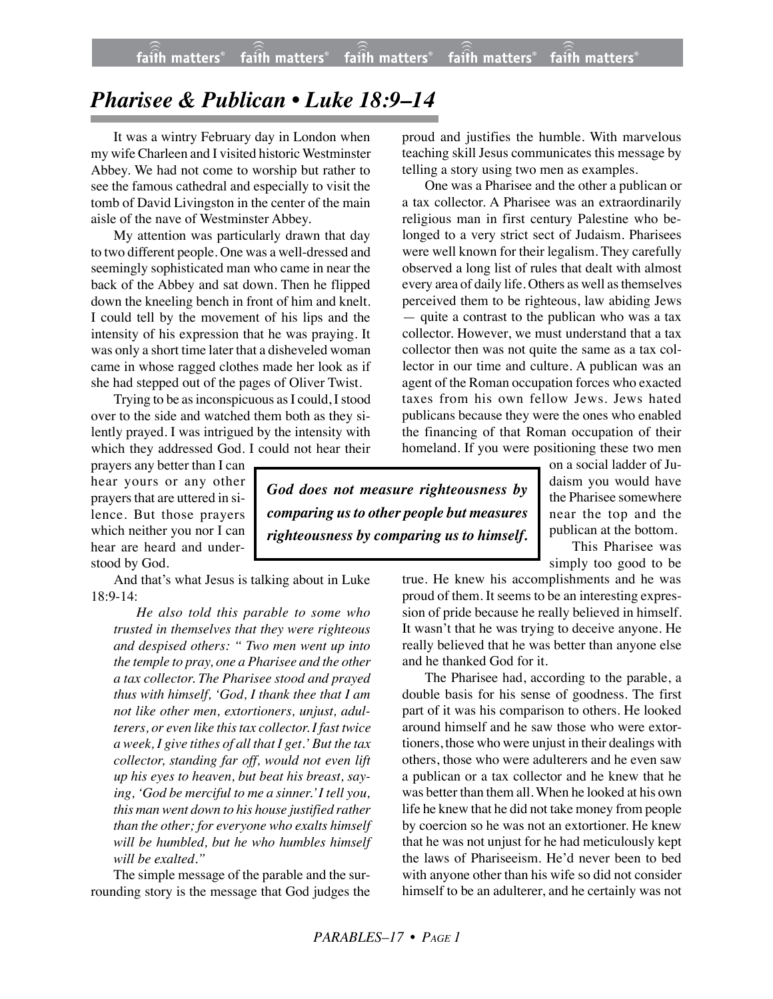## *Pharisee & Publican • Luke 18:9–14*

It was a wintry February day in London when my wife Charleen and I visited historic Westminster Abbey. We had not come to worship but rather to see the famous cathedral and especially to visit the tomb of David Livingston in the center of the main aisle of the nave of Westminster Abbey.

My attention was particularly drawn that day to two different people. One was a well-dressed and seemingly sophisticated man who came in near the back of the Abbey and sat down. Then he flipped down the kneeling bench in front of him and knelt. I could tell by the movement of his lips and the intensity of his expression that he was praying. It was only a short time later that a disheveled woman came in whose ragged clothes made her look as if she had stepped out of the pages of Oliver Twist.

Trying to be as inconspicuous as I could, I stood over to the side and watched them both as they silently prayed. I was intrigued by the intensity with which they addressed God. I could not hear their

prayers any better than I can hear yours or any other prayers that are uttered in silence. But those prayers which neither you nor I can hear are heard and understood by God.

And that's what Jesus is talking about in Luke 18:9-14:

*He also told this parable to some who trusted in themselves that they were righteous and despised others: " Two men went up into the temple to pray, one a Pharisee and the other a tax collector. The Pharisee stood and prayed thus with himself, 'God, I thank thee that I am not like other men, extortioners, unjust, adulterers, or even like this tax collector. I fast twice a week, I give tithes of all that I get.' But the tax collector, standing far off, would not even lift up his eyes to heaven, but beat his breast, saying, 'God be merciful to me a sinner.' I tell you, this man went down to his house justified rather than the other; for everyone who exalts himself will be humbled, but he who humbles himself will be exalted."*

The simple message of the parable and the surrounding story is the message that God judges the proud and justifies the humble. With marvelous teaching skill Jesus communicates this message by telling a story using two men as examples.

One was a Pharisee and the other a publican or a tax collector. A Pharisee was an extraordinarily religious man in first century Palestine who belonged to a very strict sect of Judaism. Pharisees were well known for their legalism. They carefully observed a long list of rules that dealt with almost every area of daily life. Others as well as themselves perceived them to be righteous, law abiding Jews — quite a contrast to the publican who was a tax collector. However, we must understand that a tax collector then was not quite the same as a tax collector in our time and culture. A publican was an agent of the Roman occupation forces who exacted taxes from his own fellow Jews. Jews hated publicans because they were the ones who enabled the financing of that Roman occupation of their homeland. If you were positioning these two men

*God does not measure righteousness by comparing us to other people but measures righteousness by comparing us to himself.* on a social ladder of Judaism you would have the Pharisee somewhere near the top and the publican at the bottom.

This Pharisee was simply too good to be

true. He knew his accomplishments and he was proud of them. It seems to be an interesting expression of pride because he really believed in himself. It wasn't that he was trying to deceive anyone. He really believed that he was better than anyone else and he thanked God for it.

The Pharisee had, according to the parable, a double basis for his sense of goodness. The first part of it was his comparison to others. He looked around himself and he saw those who were extortioners, those who were unjust in their dealings with others, those who were adulterers and he even saw a publican or a tax collector and he knew that he was better than them all. When he looked at his own life he knew that he did not take money from people by coercion so he was not an extortioner. He knew that he was not unjust for he had meticulously kept the laws of Phariseeism. He'd never been to bed with anyone other than his wife so did not consider himself to be an adulterer, and he certainly was not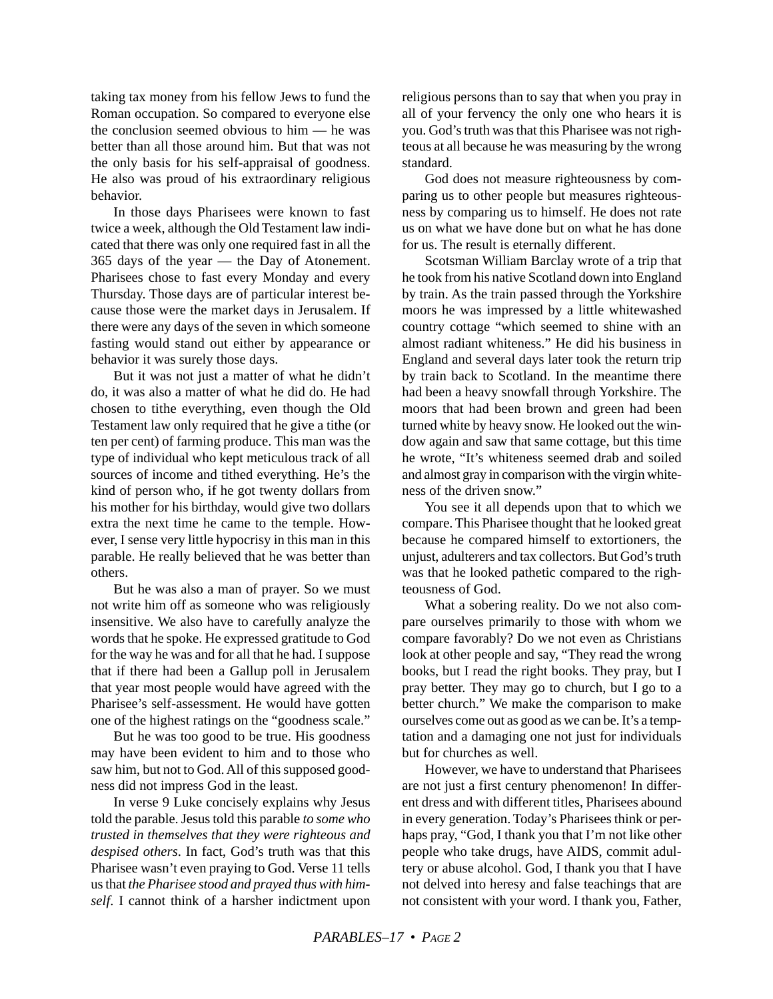taking tax money from his fellow Jews to fund the Roman occupation. So compared to everyone else the conclusion seemed obvious to him — he was better than all those around him. But that was not the only basis for his self-appraisal of goodness. He also was proud of his extraordinary religious behavior.

In those days Pharisees were known to fast twice a week, although the Old Testament law indicated that there was only one required fast in all the 365 days of the year — the Day of Atonement. Pharisees chose to fast every Monday and every Thursday. Those days are of particular interest because those were the market days in Jerusalem. If there were any days of the seven in which someone fasting would stand out either by appearance or behavior it was surely those days.

But it was not just a matter of what he didn't do, it was also a matter of what he did do. He had chosen to tithe everything, even though the Old Testament law only required that he give a tithe (or ten per cent) of farming produce. This man was the type of individual who kept meticulous track of all sources of income and tithed everything. He's the kind of person who, if he got twenty dollars from his mother for his birthday, would give two dollars extra the next time he came to the temple. However, I sense very little hypocrisy in this man in this parable. He really believed that he was better than others.

But he was also a man of prayer. So we must not write him off as someone who was religiously insensitive. We also have to carefully analyze the words that he spoke. He expressed gratitude to God for the way he was and for all that he had. I suppose that if there had been a Gallup poll in Jerusalem that year most people would have agreed with the Pharisee's self-assessment. He would have gotten one of the highest ratings on the "goodness scale."

But he was too good to be true. His goodness may have been evident to him and to those who saw him, but not to God. All of this supposed goodness did not impress God in the least.

In verse 9 Luke concisely explains why Jesus told the parable. Jesus told this parable *to some who trusted in themselves that they were righteous and despised others*. In fact, God's truth was that this Pharisee wasn't even praying to God. Verse 11 tells us that *the Pharisee stood and prayed thus with himself*. I cannot think of a harsher indictment upon religious persons than to say that when you pray in all of your fervency the only one who hears it is you. God's truth was that this Pharisee was not righteous at all because he was measuring by the wrong standard.

God does not measure righteousness by comparing us to other people but measures righteousness by comparing us to himself. He does not rate us on what we have done but on what he has done for us. The result is eternally different.

Scotsman William Barclay wrote of a trip that he took from his native Scotland down into England by train. As the train passed through the Yorkshire moors he was impressed by a little whitewashed country cottage "which seemed to shine with an almost radiant whiteness." He did his business in England and several days later took the return trip by train back to Scotland. In the meantime there had been a heavy snowfall through Yorkshire. The moors that had been brown and green had been turned white by heavy snow. He looked out the window again and saw that same cottage, but this time he wrote, "It's whiteness seemed drab and soiled and almost gray in comparison with the virgin whiteness of the driven snow."

You see it all depends upon that to which we compare. This Pharisee thought that he looked great because he compared himself to extortioners, the unjust, adulterers and tax collectors. But God's truth was that he looked pathetic compared to the righteousness of God.

What a sobering reality. Do we not also compare ourselves primarily to those with whom we compare favorably? Do we not even as Christians look at other people and say, "They read the wrong books, but I read the right books. They pray, but I pray better. They may go to church, but I go to a better church." We make the comparison to make ourselves come out as good as we can be. It's a temptation and a damaging one not just for individuals but for churches as well.

However, we have to understand that Pharisees are not just a first century phenomenon! In different dress and with different titles, Pharisees abound in every generation. Today's Pharisees think or perhaps pray, "God, I thank you that I'm not like other people who take drugs, have AIDS, commit adultery or abuse alcohol. God, I thank you that I have not delved into heresy and false teachings that are not consistent with your word. I thank you, Father,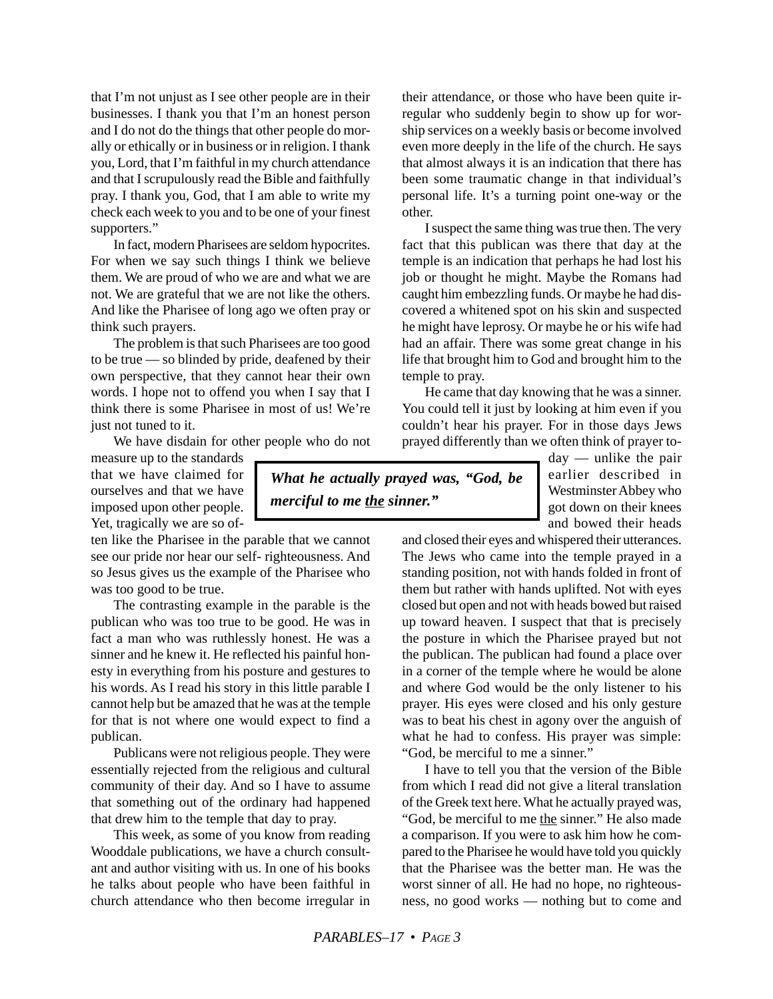that I'm not unjust as I see other people are in their businesses. I thank you that I'm an honest person and I do not do the things that other people do morally or ethically or in business or in religion. I thank you, Lord, that I'm faithful in my church attendance and that I scrupulously read the Bible and faithfully pray. I thank you, God, that I am able to write my check each week to you and to be one of your finest supporters."

In fact, modern Pharisees are seldom hypocrites. For when we say such things I think we believe them. We are proud of who we are and what we are not. We are grateful that we are not like the others. And like the Pharisee of long ago we often pray or think such prayers.

The problem is that such Pharisees are too good to be true — so blinded by pride, deafened by their own perspective, that they cannot hear their own words. I hope not to offend you when I say that I think there is some Pharisee in most of us! We're just not tuned to it.

We have disdain for other people who do not

measure up to the standards that we have claimed for ourselves and that we have imposed upon other people. Yet, tragically we are so of-

ten like the Pharisee in the parable that we cannot see our pride nor hear our self- righteousness. And so Jesus gives us the example of the Pharisee who was too good to be true.

The contrasting example in the parable is the publican who was too true to be good. He was in fact a man who was ruthlessly honest. He was a sinner and he knew it. He reflected his painful honesty in everything from his posture and gestures to his words. As I read his story in this little parable I cannot help but be amazed that he was at the temple for that is not where one would expect to find a publican.

Publicans were not religious people. They were essentially rejected from the religious and cultural community of their day. And so I have to assume that something out of the ordinary had happened that drew him to the temple that day to pray.

This week, as some of you know from reading Wooddale publications, we have a church consultant and author visiting with us. In one of his books he talks about people who have been faithful in church attendance who then become irregular in their attendance, or those who have been quite irregular who suddenly begin to show up for worship services on a weekly basis or become involved even more deeply in the life of the church. He says that almost always it is an indication that there has been some traumatic change in that individual's personal life. It's a turning point one-way or the other.

I suspect the same thing was true then. The very fact that this publican was there that day at the temple is an indication that perhaps he had lost his job or thought he might. Maybe the Romans had caught him embezzling funds. Or maybe he had discovered a whitened spot on his skin and suspected he might have leprosy. Or maybe he or his wife had had an affair. There was some great change in his life that brought him to God and brought him to the temple to pray.

He came that day knowing that he was a sinner. You could tell it just by looking at him even if you couldn't hear his prayer. For in those days Jews prayed differently than we often think of prayer to-

*What he actually prayed was, "God, be merciful to me the sinner."*

day — unlike the pair earlier described in Westminster Abbey who got down on their knees and bowed their heads

and closed their eyes and whispered their utterances. The Jews who came into the temple prayed in a standing position, not with hands folded in front of them but rather with hands uplifted. Not with eyes closed but open and not with heads bowed but raised up toward heaven. I suspect that that is precisely the posture in which the Pharisee prayed but not the publican. The publican had found a place over in a corner of the temple where he would be alone and where God would be the only listener to his prayer. His eyes were closed and his only gesture was to beat his chest in agony over the anguish of what he had to confess. His prayer was simple: "God, be merciful to me a sinner."

I have to tell you that the version of the Bible from which I read did not give a literal translation of the Greek text here. What he actually prayed was, "God, be merciful to me the sinner." He also made a comparison. If you were to ask him how he compared to the Pharisee he would have told you quickly that the Pharisee was the better man. He was the worst sinner of all. He had no hope, no righteousness, no good works — nothing but to come and